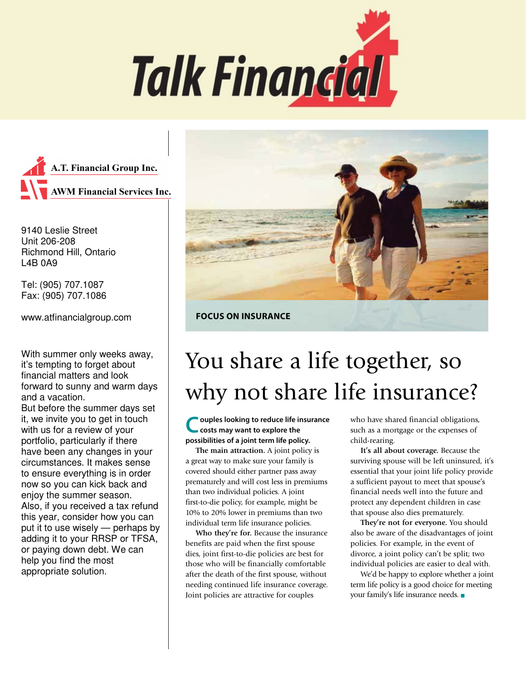



9140 Leslie Street Unit 206-208 Richmond Hill, Ontario L4B 0A9

Tel: (905) 707.1087 Fax: (905) 707.1086

www.atfinancialgroup.com

With summer only weeks away, it's tempting to forget about financial matters and look forward to sunny and warm days and a vacation.

But before the summer days set it, we invite you to get in touch with us for a review of your portfolio, particularly if there have been any changes in your circumstances. It makes sense to ensure everything is in order now so you can kick back and enjoy the summer season. Also, if you received a tax refund this year, consider how you can put it to use wisely — perhaps by adding it to your RRSP or TFSA, or paying down debt. We can help you find the most appropriate solution.



**FOCUS ON INSURANCE**

# You share a life together, so why not share life insurance?

**Couples looking to reduce life insurance costs may want to explore the possibilities of a joint term life policy.** 

**The main attraction.** A joint policy is a great way to make sure your family is covered should either partner pass away prematurely and will cost less in premiums than two individual policies. A joint first-to-die policy, for example, might be 10% to 20% lower in premiums than two individual term life insurance policies.

**Who they're for.** Because the insurance benefits are paid when the first spouse dies, joint first-to-die policies are best for those who will be financially comfortable after the death of the first spouse, without needing continued life insurance coverage. Joint policies are attractive for couples

who have shared financial obligations, such as a mortgage or the expenses of child-rearing.

**It's all about coverage.** Because the surviving spouse will be left uninsured, it's essential that your joint life policy provide a sufficient payout to meet that spouse's financial needs well into the future and protect any dependent children in case that spouse also dies prematurely.

**They're not for everyone.** You should also be aware of the disadvantages of joint policies. For example, in the event of divorce, a joint policy can't be split; two individual policies are easier to deal with.

We'd be happy to explore whether a joint term life policy is a good choice for meeting your family's life insurance needs.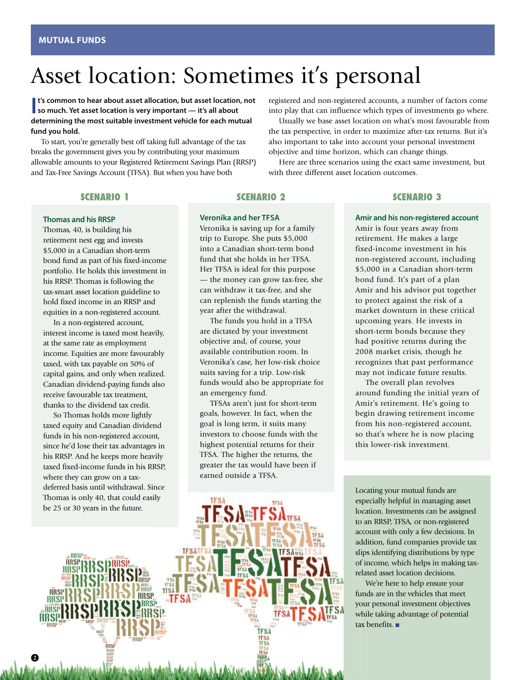# Asset location: Sometimes it's personal

### **I** is common to hear about asset allocation, but asset location **so much.** Yet asset location is very important — it's all about **t's common to hear about asset allocation, but asset location, not determining the most suitable investment vehicle for each mutual fund you hold.**

To start, you're generally best off taking full advantage of the tax breaks the government gives you by contributing your maximum allowable amounts to your Registered Retirement Savings Plan (RRSP) and Tax-Free Savings Account (TFSA). But when you have both

### **SCENARIO 1**

### **Thomas and his RRSP**

Thomas, 40, is building his retirement nest egg and invests \$5,000 in a Canadian short-term bond fund as part of his fixed-income portfolio. He holds this investment in his RRSP. Thomas is following the tax-smart asset location guideline to hold fixed income in an RRSP and equities in a non-registered account.

In a non-registered account, interest income is taxed most heavily, at the same rate as employment income. Equities are more favourably taxed, with tax payable on 50% of capital gains, and only when realized. Canadian dividend-paying funds also receive favourable tax treatment, thanks to the dividend tax credit.

So Thomas holds more lightly taxed equity and Canadian dividend funds in his non-registered account, since he'd lose their tax advantages in his RRSP. And he keeps more heavily taxed fixed-income funds in his RRSP, where they can grow on a tax-

### **SCENARIO 2**

### **Veronika and her TFSA**

Veronika is saving up for a family trip to Europe. She puts \$5,000 into a Canadian short-term bond fund that she holds in her TFSA. Her TFSA is ideal for this purpose — the money can grow tax-free, she can withdraw it tax-free, and she can replenish the funds starting the year after the withdrawal.

The funds you hold in a TFSA are dictated by your investment objective and, of course, your available contribution room. In Veronika's case, her low-risk choice suits saving for a trip. Low-risk funds would also be appropriate for an emergency fund.

TFSAs aren't just for short-term goals, however. In fact, when the goal is long term, it suits many investors to choose funds with the highest potential returns for their TFSA. The higher the returns, the greater the tax would have been if earned outside a TFSA.

### **SCENARIO 3**

registered and non-registered accounts, a number of factors come into play that can influence which types of investments go where. Usually we base asset location on what's most favourable from the tax perspective, in order to maximize after-tax returns. But it's also important to take into account your personal investment

Here are three scenarios using the exact same investment, but

objective and time horizon, which can change things.

with three different asset location outcomes.

**Amir and his non-registered account** Amir is four years away from

retirement. He makes a large fixed-income investment in his non-registered account, including \$5,000 in a Canadian short-term bond fund. It's part of a plan Amir and his advisor put together to protect against the risk of a market downturn in these critical upcoming years. He invests in short-term bonds because they had positive returns during the 2008 market crisis, though he recognizes that past performance may not indicate future results.

The overall plan revolves around funding the initial years of Amir's retirement. He's going to begin drawing retirement income from his non-registered account, so that's where he is now placing this lower-risk investment.

Locating your mutual funds are especially helpful in managing asset location. Investments can be assigned to an RRSP, TFSA, or non-registered account with only a few decisions. In addition, fund companies provide tax slips identifying distributions by type of income, which helps in making taxrelated asset location decisions.

We're here to help ensure your funds are in the vehicles that meet your personal investment objectives while taking advantage of potential tax benefits. ■

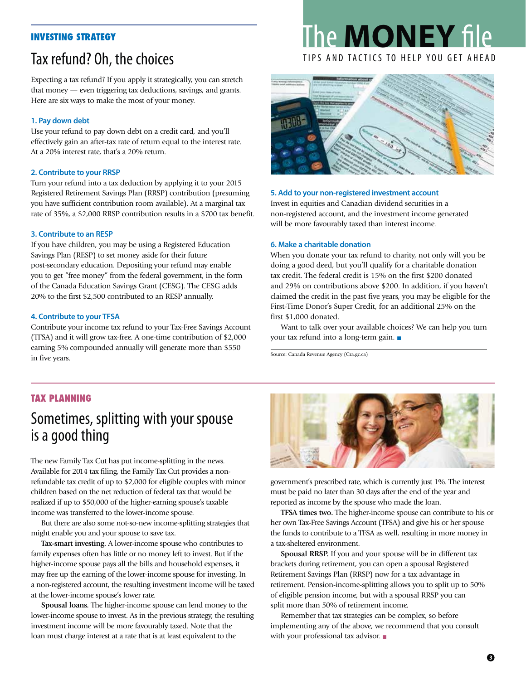### **INVESTING STRATEGY**

## Tax refund? Oh, the choices

Expecting a tax refund? If you apply it strategically, you can stretch that money — even triggering tax deductions, savings, and grants. Here are six ways to make the most of your money.

### **1. Pay down debt**

Use your refund to pay down debt on a credit card, and you'll effectively gain an after-tax rate of return equal to the interest rate. At a 20% interest rate, that's a 20% return.

### **2. Contribute to your RRSP**

Turn your refund into a tax deduction by applying it to your 2015 Registered Retirement Savings Plan (RRSP) contribution (presuming you have sufficient contribution room available). At a marginal tax rate of 35%, a \$2,000 RRSP contribution results in a \$700 tax benefit.

### **3. Contribute to an RESP**

If you have children, you may be using a Registered Education Savings Plan (RESP) to set money aside for their future post-secondary education. Depositing your refund may enable you to get "free money" from the federal government, in the form of the Canada Education Savings Grant (CESG). The CESG adds 20% to the first \$2,500 contributed to an RESP annually.

### **4. Contribute to your TFSA**

Contribute your income tax refund to your Tax-Free Savings Account (TFSA) and it will grow tax-free. A one-time contribution of \$2,000 earning 5% compounded annually will generate more than \$550 in five years.

# The **MONEY** file



### **5. Add to your non-registered investment account**

Invest in equities and Canadian dividend securities in a non-registered account, and the investment income generated will be more favourably taxed than interest income.

### **6. Make a charitable donation**

When you donate your tax refund to charity, not only will you be doing a good deed, but you'll qualify for a charitable donation tax credit. The federal credit is 15% on the first \$200 donated and 29% on contributions above \$200. In addition, if you haven't claimed the credit in the past five years, you may be eligible for the First-Time Donor's Super Credit, for an additional 25% on the first \$1,000 donated.

Want to talk over your available choices? We can help you turn your tax refund into a long-term gain. ■

Source: Canada Revenue Agency (Cra.gc.ca)

### **TAX PLANNING**

### Sometimes, splitting with your spouse is a good thing

The new Family Tax Cut has put income-splitting in the news. Available for 2014 tax filing, the Family Tax Cut provides a nonrefundable tax credit of up to \$2,000 for eligible couples with minor children based on the net reduction of federal tax that would be realized if up to \$50,000 of the higher-earning spouse's taxable income was transferred to the lower-income spouse.

But there are also some not-so-new income-splitting strategies that might enable you and your spouse to save tax.

**Tax-smart investing.** A lower-income spouse who contributes to family expenses often has little or no money left to invest. But if the higher-income spouse pays all the bills and household expenses, it may free up the earning of the lower-income spouse for investing. In a non-registered account, the resulting investment income will be taxed at the lower-income spouse's lower rate.

**Spousal loans.** The higher-income spouse can lend money to the lower-income spouse to invest. As in the previous strategy, the resulting investment income will be more favourably taxed. Note that the loan must charge interest at a rate that is at least equivalent to the



government's prescribed rate, which is currently just 1%. The interest must be paid no later than 30 days after the end of the year and reported as income by the spouse who made the loan.

**TFSA times two.** The higher-income spouse can contribute to his or her own Tax-Free Savings Account (TFSA) and give his or her spouse the funds to contribute to a TFSA as well, resulting in more money in a tax-sheltered environment.

**Spousal RRSP.** If you and your spouse will be in different tax brackets during retirement, you can open a spousal Registered Retirement Savings Plan (RRSP) now for a tax advantage in retirement. Pension-income-splitting allows you to split up to 50% of eligible pension income, but with a spousal RRSP you can split more than 50% of retirement income.

Remember that tax strategies can be complex, so before implementing any of the above, we recommend that you consult with your professional tax advisor. ■